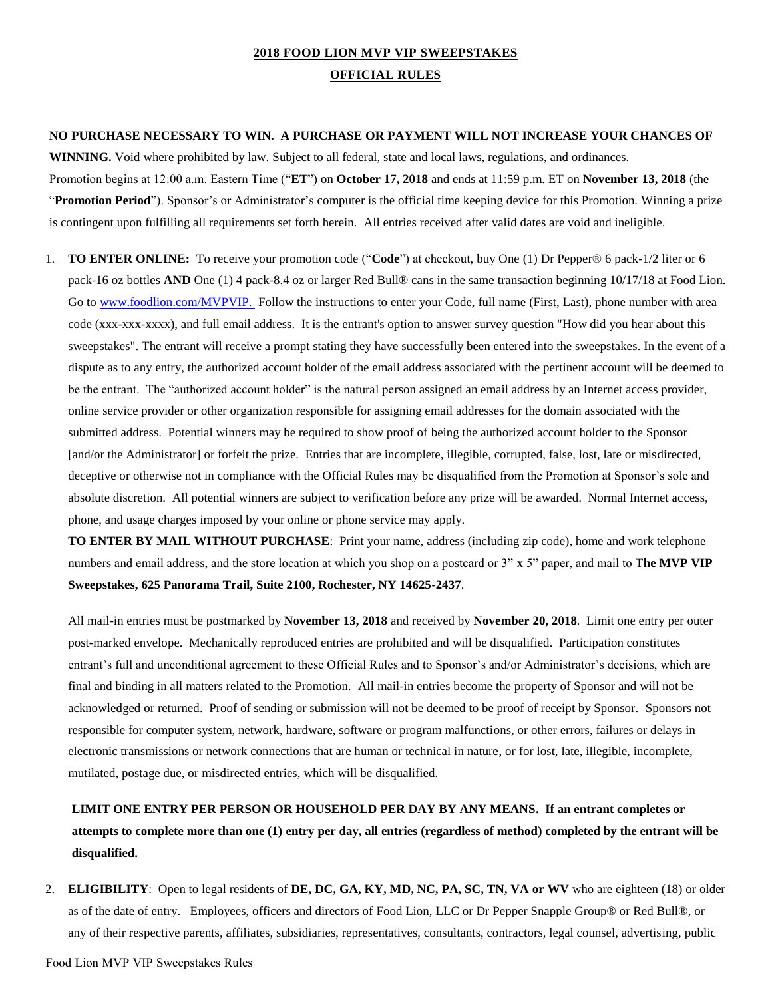## **2018 FOOD LION MVP VIP SWEEPSTAKES OFFICIAL RULES**

### **NO PURCHASE NECESSARY TO WIN. A PURCHASE OR PAYMENT WILL NOT INCREASE YOUR CHANCES OF**

**WINNING.** Void where prohibited by law. Subject to all federal, state and local laws, regulations, and ordinances. Promotion begins at 12:00 a.m. Eastern Time ("**ET**") on **October 17, 2018** and ends at 11:59 p.m. ET on **November 13, 2018** (the "Promotion Period"). Sponsor's or Administrator's computer is the official time keeping device for this Promotion. Winning a prize is contingent upon fulfilling all requirements set forth herein. All entries received after valid dates are void and ineligible.

1. **TO ENTER ONLINE:** To receive your promotion code ("**Code**") at checkout, buy One (1) Dr Pepper® 6 pack-1/2 liter or 6 pack-16 oz bottles **AND** One (1) 4 pack-8.4 oz or larger Red Bull® cans in the same transaction beginning 10/17/18 at Food Lion. Go to [www.foodlion.com/MVPVIP.](http://www.foodlion.com/MVPVIP) Follow the instructions to enter your Code, full name (First, Last), phone number with area code (xxx-xxx-xxxx), and full email address. It is the entrant's option to answer survey question "How did you hear about this sweepstakes". The entrant will receive a prompt stating they have successfully been entered into the sweepstakes. In the event of a dispute as to any entry, the authorized account holder of the email address associated with the pertinent account will be deemed to be the entrant. The "authorized account holder" is the natural person assigned an email address by an Internet access provider, online service provider or other organization responsible for assigning email addresses for the domain associated with the submitted address. Potential winners may be required to show proof of being the authorized account holder to the Sponsor [and/or the Administrator] or forfeit the prize. Entries that are incomplete, illegible, corrupted, false, lost, late or misdirected, deceptive or otherwise not in compliance with the Official Rules may be disqualified from the Promotion at Sponsor's sole and absolute discretion. All potential winners are subject to verification before any prize will be awarded. Normal Internet access, phone, and usage charges imposed by your online or phone service may apply.

**TO ENTER BY MAIL WITHOUT PURCHASE**: Print your name, address (including zip code), home and work telephone numbers and email address, and the store location at which you shop on a postcard or 3" x 5" paper, and mail to T**he MVP VIP Sweepstakes, 625 Panorama Trail, Suite 2100, Rochester, NY 14625-2437**.

All mail-in entries must be postmarked by **November 13, 2018** and received by **November 20, 2018**. Limit one entry per outer post-marked envelope. Mechanically reproduced entries are prohibited and will be disqualified. Participation constitutes entrant's full and unconditional agreement to these Official Rules and to Sponsor's and/or Administrator's decisions, which are final and binding in all matters related to the Promotion. All mail-in entries become the property of Sponsor and will not be acknowledged or returned. Proof of sending or submission will not be deemed to be proof of receipt by Sponsor. Sponsors not responsible for computer system, network, hardware, software or program malfunctions, or other errors, failures or delays in electronic transmissions or network connections that are human or technical in nature, or for lost, late, illegible, incomplete, mutilated, postage due, or misdirected entries, which will be disqualified.

**LIMIT ONE ENTRY PER PERSON OR HOUSEHOLD PER DAY BY ANY MEANS. If an entrant completes or attempts to complete more than one (1) entry per day, all entries (regardless of method) completed by the entrant will be disqualified.** 

2. **ELIGIBILITY**: Open to legal residents of **DE, DC, GA, KY, MD, NC, PA, SC, TN, VA or WV** who are eighteen (18) or older as of the date of entry. Employees, officers and directors of Food Lion, LLC or Dr Pepper Snapple Group® or Red Bull®, or any of their respective parents, affiliates, subsidiaries, representatives, consultants, contractors, legal counsel, advertising, public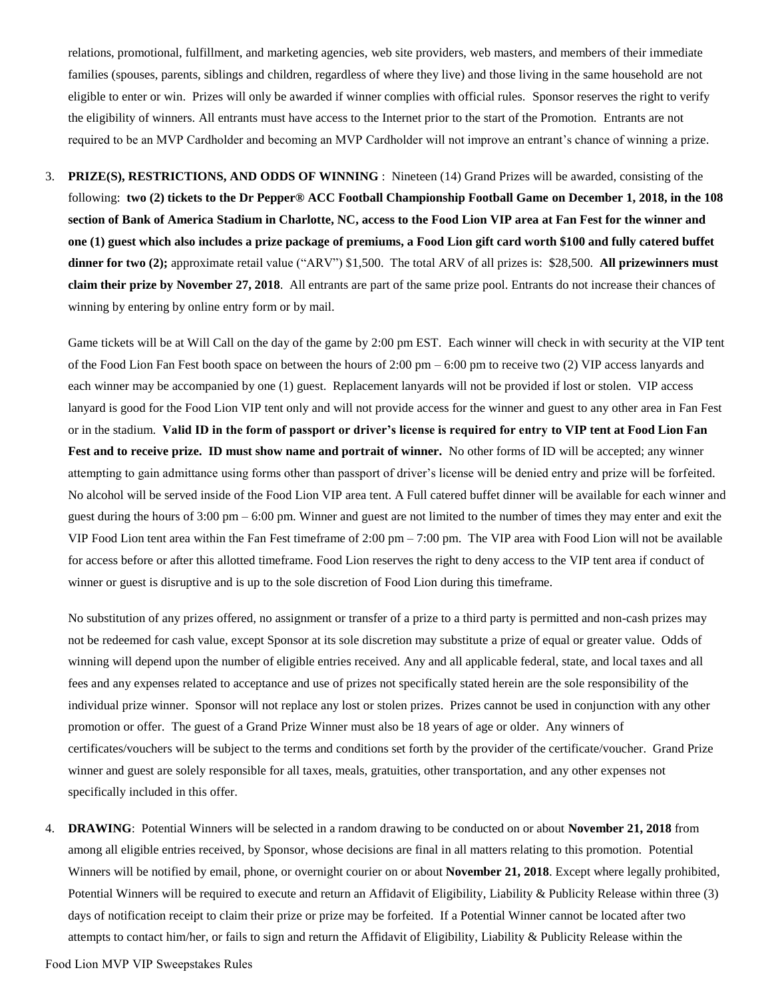relations, promotional, fulfillment, and marketing agencies, web site providers, web masters, and members of their immediate families (spouses, parents, siblings and children, regardless of where they live) and those living in the same household are not eligible to enter or win. Prizes will only be awarded if winner complies with official rules. Sponsor reserves the right to verify the eligibility of winners. All entrants must have access to the Internet prior to the start of the Promotion. Entrants are not required to be an MVP Cardholder and becoming an MVP Cardholder will not improve an entrant's chance of winning a prize.

3. **PRIZE(S), RESTRICTIONS, AND ODDS OF WINNING** : Nineteen (14) Grand Prizes will be awarded, consisting of the following: **two (2) tickets to the Dr Pepper® ACC Football Championship Football Game on December 1, 2018, in the 108 section of Bank of America Stadium in Charlotte, NC, access to the Food Lion VIP area at Fan Fest for the winner and one (1) guest which also includes a prize package of premiums, a Food Lion gift card worth \$100 and fully catered buffet dinner for two (2);** approximate retail value ("ARV") \$1,500. The total ARV of all prizes is: \$28,500. **All prizewinners must claim their prize by November 27, 2018**. All entrants are part of the same prize pool. Entrants do not increase their chances of winning by entering by online entry form or by mail.

Game tickets will be at Will Call on the day of the game by 2:00 pm EST. Each winner will check in with security at the VIP tent of the Food Lion Fan Fest booth space on between the hours of 2:00 pm – 6:00 pm to receive two (2) VIP access lanyards and each winner may be accompanied by one (1) guest. Replacement lanyards will not be provided if lost or stolen. VIP access lanyard is good for the Food Lion VIP tent only and will not provide access for the winner and guest to any other area in Fan Fest or in the stadium. **Valid ID in the form of passport or driver's license is required for entry to VIP tent at Food Lion Fan Fest and to receive prize. ID must show name and portrait of winner.** No other forms of ID will be accepted; any winner attempting to gain admittance using forms other than passport of driver's license will be denied entry and prize will be forfeited. No alcohol will be served inside of the Food Lion VIP area tent. A Full catered buffet dinner will be available for each winner and guest during the hours of 3:00 pm – 6:00 pm. Winner and guest are not limited to the number of times they may enter and exit the VIP Food Lion tent area within the Fan Fest timeframe of 2:00 pm – 7:00 pm. The VIP area with Food Lion will not be available for access before or after this allotted timeframe. Food Lion reserves the right to deny access to the VIP tent area if conduct of winner or guest is disruptive and is up to the sole discretion of Food Lion during this timeframe.

No substitution of any prizes offered, no assignment or transfer of a prize to a third party is permitted and non-cash prizes may not be redeemed for cash value, except Sponsor at its sole discretion may substitute a prize of equal or greater value. Odds of winning will depend upon the number of eligible entries received. Any and all applicable federal, state, and local taxes and all fees and any expenses related to acceptance and use of prizes not specifically stated herein are the sole responsibility of the individual prize winner. Sponsor will not replace any lost or stolen prizes. Prizes cannot be used in conjunction with any other promotion or offer. The guest of a Grand Prize Winner must also be 18 years of age or older. Any winners of certificates/vouchers will be subject to the terms and conditions set forth by the provider of the certificate/voucher. Grand Prize winner and guest are solely responsible for all taxes, meals, gratuities, other transportation, and any other expenses not specifically included in this offer.

4. **DRAWING**: Potential Winners will be selected in a random drawing to be conducted on or about **November 21, 2018** from among all eligible entries received, by Sponsor, whose decisions are final in all matters relating to this promotion. Potential Winners will be notified by email, phone, or overnight courier on or about **November 21, 2018**. Except where legally prohibited, Potential Winners will be required to execute and return an Affidavit of Eligibility, Liability & Publicity Release within three (3) days of notification receipt to claim their prize or prize may be forfeited. If a Potential Winner cannot be located after two attempts to contact him/her, or fails to sign and return the Affidavit of Eligibility, Liability & Publicity Release within the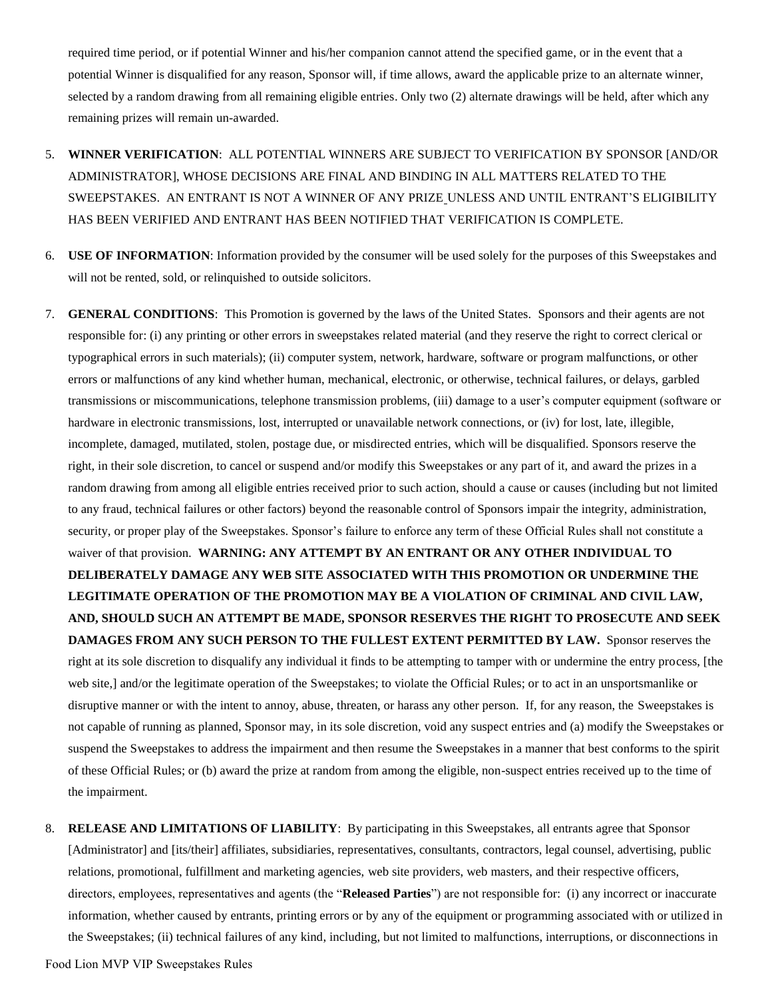required time period, or if potential Winner and his/her companion cannot attend the specified game, or in the event that a potential Winner is disqualified for any reason, Sponsor will, if time allows, award the applicable prize to an alternate winner, selected by a random drawing from all remaining eligible entries. Only two (2) alternate drawings will be held, after which any remaining prizes will remain un-awarded.

- 5. **WINNER VERIFICATION**: ALL POTENTIAL WINNERS ARE SUBJECT TO VERIFICATION BY SPONSOR [AND/OR ADMINISTRATOR], WHOSE DECISIONS ARE FINAL AND BINDING IN ALL MATTERS RELATED TO THE SWEEPSTAKES. AN ENTRANT IS NOT A WINNER OF ANY PRIZE UNLESS AND UNTIL ENTRANT'S ELIGIBILITY HAS BEEN VERIFIED AND ENTRANT HAS BEEN NOTIFIED THAT VERIFICATION IS COMPLETE.
- 6. **USE OF INFORMATION**: Information provided by the consumer will be used solely for the purposes of this Sweepstakes and will not be rented, sold, or relinquished to outside solicitors.
- 7. **GENERAL CONDITIONS**: This Promotion is governed by the laws of the United States. Sponsors and their agents are not responsible for: (i) any printing or other errors in sweepstakes related material (and they reserve the right to correct clerical or typographical errors in such materials); (ii) computer system, network, hardware, software or program malfunctions, or other errors or malfunctions of any kind whether human, mechanical, electronic, or otherwise, technical failures, or delays, garbled transmissions or miscommunications, telephone transmission problems, (iii) damage to a user's computer equipment (software or hardware in electronic transmissions, lost, interrupted or unavailable network connections, or (iv) for lost, late, illegible, incomplete, damaged, mutilated, stolen, postage due, or misdirected entries, which will be disqualified. Sponsors reserve the right, in their sole discretion, to cancel or suspend and/or modify this Sweepstakes or any part of it, and award the prizes in a random drawing from among all eligible entries received prior to such action, should a cause or causes (including but not limited to any fraud, technical failures or other factors) beyond the reasonable control of Sponsors impair the integrity, administration, security, or proper play of the Sweepstakes. Sponsor's failure to enforce any term of these Official Rules shall not constitute a waiver of that provision. **WARNING: ANY ATTEMPT BY AN ENTRANT OR ANY OTHER INDIVIDUAL TO DELIBERATELY DAMAGE ANY WEB SITE ASSOCIATED WITH THIS PROMOTION OR UNDERMINE THE LEGITIMATE OPERATION OF THE PROMOTION MAY BE A VIOLATION OF CRIMINAL AND CIVIL LAW, AND, SHOULD SUCH AN ATTEMPT BE MADE, SPONSOR RESERVES THE RIGHT TO PROSECUTE AND SEEK DAMAGES FROM ANY SUCH PERSON TO THE FULLEST EXTENT PERMITTED BY LAW.** Sponsor reserves the right at its sole discretion to disqualify any individual it finds to be attempting to tamper with or undermine the entry process, [the web site,] and/or the legitimate operation of the Sweepstakes; to violate the Official Rules; or to act in an unsportsmanlike or disruptive manner or with the intent to annoy, abuse, threaten, or harass any other person. If, for any reason, the Sweepstakes is not capable of running as planned, Sponsor may, in its sole discretion, void any suspect entries and (a) modify the Sweepstakes or suspend the Sweepstakes to address the impairment and then resume the Sweepstakes in a manner that best conforms to the spirit of these Official Rules; or (b) award the prize at random from among the eligible, non-suspect entries received up to the time of the impairment.
- 8. **RELEASE AND LIMITATIONS OF LIABILITY**: By participating in this Sweepstakes, all entrants agree that Sponsor [Administrator] and [its/their] affiliates, subsidiaries, representatives, consultants, contractors, legal counsel, advertising, public relations, promotional, fulfillment and marketing agencies, web site providers, web masters, and their respective officers, directors, employees, representatives and agents (the "**Released Parties**") are not responsible for: (i) any incorrect or inaccurate information, whether caused by entrants, printing errors or by any of the equipment or programming associated with or utilized in the Sweepstakes; (ii) technical failures of any kind, including, but not limited to malfunctions, interruptions, or disconnections in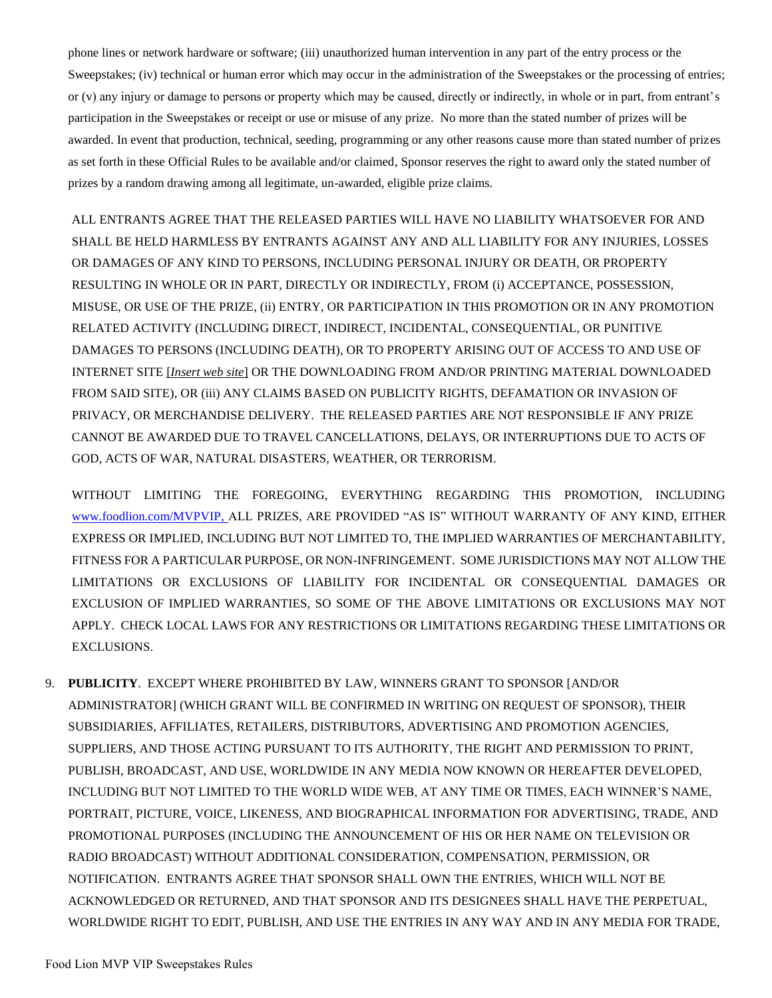phone lines or network hardware or software; (iii) unauthorized human intervention in any part of the entry process or the Sweepstakes; (iv) technical or human error which may occur in the administration of the Sweepstakes or the processing of entries; or (v) any injury or damage to persons or property which may be caused, directly or indirectly, in whole or in part, from entrant's participation in the Sweepstakes or receipt or use or misuse of any prize. No more than the stated number of prizes will be awarded. In event that production, technical, seeding, programming or any other reasons cause more than stated number of prizes as set forth in these Official Rules to be available and/or claimed, Sponsor reserves the right to award only the stated number of prizes by a random drawing among all legitimate, un-awarded, eligible prize claims.

ALL ENTRANTS AGREE THAT THE RELEASED PARTIES WILL HAVE NO LIABILITY WHATSOEVER FOR AND SHALL BE HELD HARMLESS BY ENTRANTS AGAINST ANY AND ALL LIABILITY FOR ANY INJURIES, LOSSES OR DAMAGES OF ANY KIND TO PERSONS, INCLUDING PERSONAL INJURY OR DEATH, OR PROPERTY RESULTING IN WHOLE OR IN PART, DIRECTLY OR INDIRECTLY, FROM (i) ACCEPTANCE, POSSESSION, MISUSE, OR USE OF THE PRIZE, (ii) ENTRY, OR PARTICIPATION IN THIS PROMOTION OR IN ANY PROMOTION RELATED ACTIVITY (INCLUDING DIRECT, INDIRECT, INCIDENTAL, CONSEQUENTIAL, OR PUNITIVE DAMAGES TO PERSONS (INCLUDING DEATH), OR TO PROPERTY ARISING OUT OF ACCESS TO AND USE OF INTERNET SITE [*Insert web site*] OR THE DOWNLOADING FROM AND/OR PRINTING MATERIAL DOWNLOADED FROM SAID SITE), OR (iii) ANY CLAIMS BASED ON PUBLICITY RIGHTS, DEFAMATION OR INVASION OF PRIVACY, OR MERCHANDISE DELIVERY. THE RELEASED PARTIES ARE NOT RESPONSIBLE IF ANY PRIZE CANNOT BE AWARDED DUE TO TRAVEL CANCELLATIONS, DELAYS, OR INTERRUPTIONS DUE TO ACTS OF GOD, ACTS OF WAR, NATURAL DISASTERS, WEATHER, OR TERRORISM.

WITHOUT LIMITING THE FOREGOING, EVERYTHING REGARDING THIS PROMOTION, INCLUDING [www.foodlion.com/MVPVIP,](http://www.foodlion.com/MVPVIP) ALL PRIZES, ARE PROVIDED "AS IS" WITHOUT WARRANTY OF ANY KIND, EITHER EXPRESS OR IMPLIED, INCLUDING BUT NOT LIMITED TO, THE IMPLIED WARRANTIES OF MERCHANTABILITY, FITNESS FOR A PARTICULAR PURPOSE, OR NON-INFRINGEMENT. SOME JURISDICTIONS MAY NOT ALLOW THE LIMITATIONS OR EXCLUSIONS OF LIABILITY FOR INCIDENTAL OR CONSEQUENTIAL DAMAGES OR EXCLUSION OF IMPLIED WARRANTIES, SO SOME OF THE ABOVE LIMITATIONS OR EXCLUSIONS MAY NOT APPLY. CHECK LOCAL LAWS FOR ANY RESTRICTIONS OR LIMITATIONS REGARDING THESE LIMITATIONS OR EXCLUSIONS.

9. **PUBLICITY**. EXCEPT WHERE PROHIBITED BY LAW, WINNERS GRANT TO SPONSOR [AND/OR ADMINISTRATOR] (WHICH GRANT WILL BE CONFIRMED IN WRITING ON REQUEST OF SPONSOR), THEIR SUBSIDIARIES, AFFILIATES, RETAILERS, DISTRIBUTORS, ADVERTISING AND PROMOTION AGENCIES, SUPPLIERS, AND THOSE ACTING PURSUANT TO ITS AUTHORITY, THE RIGHT AND PERMISSION TO PRINT, PUBLISH, BROADCAST, AND USE, WORLDWIDE IN ANY MEDIA NOW KNOWN OR HEREAFTER DEVELOPED, INCLUDING BUT NOT LIMITED TO THE WORLD WIDE WEB, AT ANY TIME OR TIMES, EACH WINNER'S NAME, PORTRAIT, PICTURE, VOICE, LIKENESS, AND BIOGRAPHICAL INFORMATION FOR ADVERTISING, TRADE, AND PROMOTIONAL PURPOSES (INCLUDING THE ANNOUNCEMENT OF HIS OR HER NAME ON TELEVISION OR RADIO BROADCAST) WITHOUT ADDITIONAL CONSIDERATION, COMPENSATION, PERMISSION, OR NOTIFICATION. ENTRANTS AGREE THAT SPONSOR SHALL OWN THE ENTRIES, WHICH WILL NOT BE ACKNOWLEDGED OR RETURNED, AND THAT SPONSOR AND ITS DESIGNEES SHALL HAVE THE PERPETUAL, WORLDWIDE RIGHT TO EDIT, PUBLISH, AND USE THE ENTRIES IN ANY WAY AND IN ANY MEDIA FOR TRADE,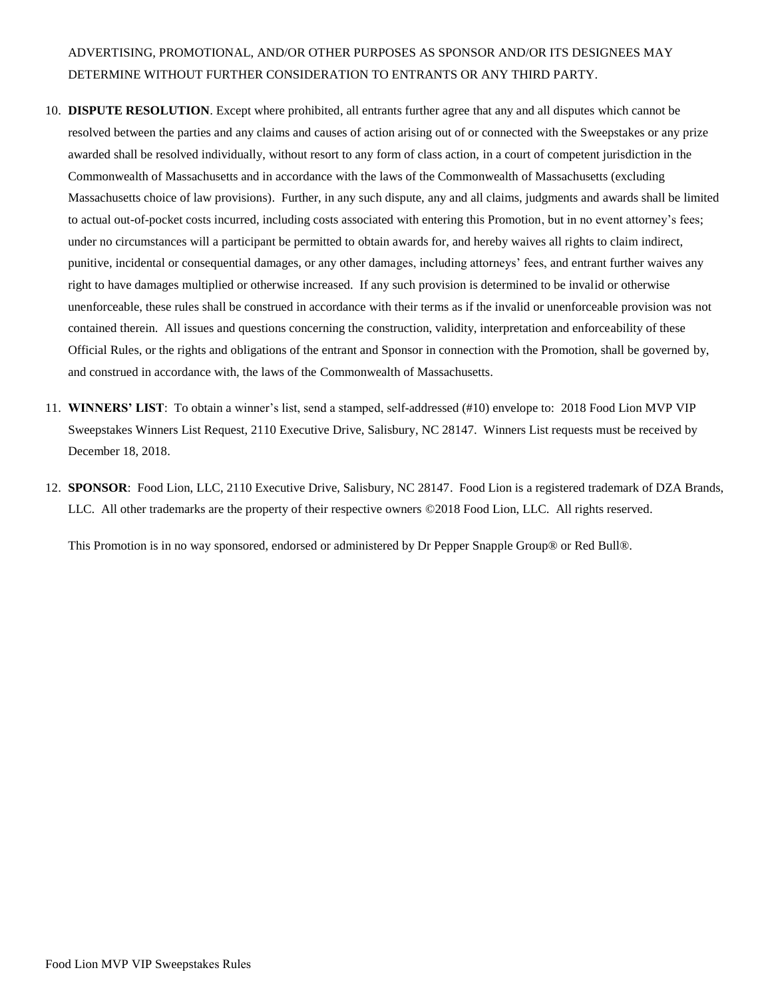# ADVERTISING, PROMOTIONAL, AND/OR OTHER PURPOSES AS SPONSOR AND/OR ITS DESIGNEES MAY DETERMINE WITHOUT FURTHER CONSIDERATION TO ENTRANTS OR ANY THIRD PARTY.

- 10. **DISPUTE RESOLUTION**. Except where prohibited, all entrants further agree that any and all disputes which cannot be resolved between the parties and any claims and causes of action arising out of or connected with the Sweepstakes or any prize awarded shall be resolved individually, without resort to any form of class action, in a court of competent jurisdiction in the Commonwealth of Massachusetts and in accordance with the laws of the Commonwealth of Massachusetts (excluding Massachusetts choice of law provisions). Further, in any such dispute, any and all claims, judgments and awards shall be limited to actual out-of-pocket costs incurred, including costs associated with entering this Promotion, but in no event attorney's fees; under no circumstances will a participant be permitted to obtain awards for, and hereby waives all rights to claim indirect, punitive, incidental or consequential damages, or any other damages, including attorneys' fees, and entrant further waives any right to have damages multiplied or otherwise increased. If any such provision is determined to be invalid or otherwise unenforceable, these rules shall be construed in accordance with their terms as if the invalid or unenforceable provision was not contained therein. All issues and questions concerning the construction, validity, interpretation and enforceability of these Official Rules, or the rights and obligations of the entrant and Sponsor in connection with the Promotion, shall be governed by, and construed in accordance with, the laws of the Commonwealth of Massachusetts.
- 11. **WINNERS' LIST**: To obtain a winner's list, send a stamped, self-addressed (#10) envelope to: 2018 Food Lion MVP VIP Sweepstakes Winners List Request, 2110 Executive Drive, Salisbury, NC 28147. Winners List requests must be received by December 18, 2018.
- 12. **SPONSOR**: Food Lion, LLC, 2110 Executive Drive, Salisbury, NC 28147. Food Lion is a registered trademark of DZA Brands, LLC. All other trademarks are the property of their respective owners ©2018 Food Lion, LLC. All rights reserved.

This Promotion is in no way sponsored, endorsed or administered by Dr Pepper Snapple Group® or Red Bull®.